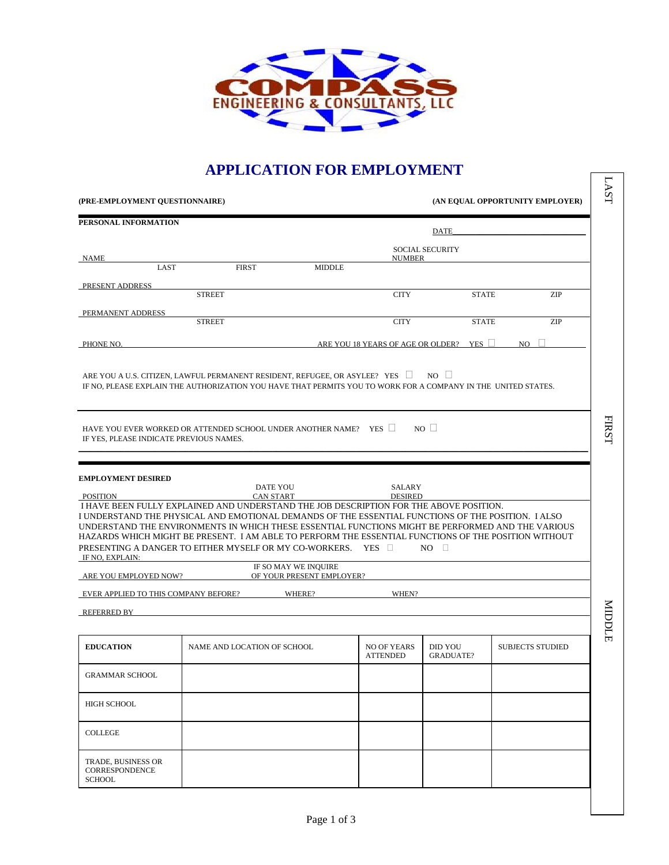

## **APPLICATION FOR EMPLOYMENT**

|                                                                      | APPLICATION FOR EMPLOTMENT                                                                                                                                                                                                                                                                                                                                                                                                                                                |                                                   |                                       |                                    |                                 |
|----------------------------------------------------------------------|---------------------------------------------------------------------------------------------------------------------------------------------------------------------------------------------------------------------------------------------------------------------------------------------------------------------------------------------------------------------------------------------------------------------------------------------------------------------------|---------------------------------------------------|---------------------------------------|------------------------------------|---------------------------------|
| (PRE-EMPLOYMENT QUESTIONNAIRE)                                       |                                                                                                                                                                                                                                                                                                                                                                                                                                                                           |                                                   |                                       |                                    | (AN EQUAL OPPORTUNITY EMPLOYER) |
| PERSONAL INFORMATION                                                 |                                                                                                                                                                                                                                                                                                                                                                                                                                                                           |                                                   |                                       |                                    |                                 |
|                                                                      |                                                                                                                                                                                                                                                                                                                                                                                                                                                                           |                                                   |                                       | <b>DATE</b>                        |                                 |
| NAME                                                                 |                                                                                                                                                                                                                                                                                                                                                                                                                                                                           |                                                   | <b>NUMBER</b>                         | <b>SOCIAL SECURITY</b>             |                                 |
| LAST                                                                 | <b>FIRST</b>                                                                                                                                                                                                                                                                                                                                                                                                                                                              | <b>MIDDLE</b>                                     |                                       |                                    |                                 |
| PRESENT ADDRESS                                                      |                                                                                                                                                                                                                                                                                                                                                                                                                                                                           |                                                   |                                       |                                    |                                 |
|                                                                      | <b>STREET</b>                                                                                                                                                                                                                                                                                                                                                                                                                                                             |                                                   | <b>CITY</b>                           | <b>STATE</b>                       | <b>ZIP</b>                      |
| PERMANENT ADDRESS                                                    | <b>STREET</b>                                                                                                                                                                                                                                                                                                                                                                                                                                                             |                                                   | <b>CITY</b>                           | <b>STATE</b>                       | ZIP                             |
|                                                                      |                                                                                                                                                                                                                                                                                                                                                                                                                                                                           |                                                   |                                       |                                    |                                 |
| PHONE NO.                                                            |                                                                                                                                                                                                                                                                                                                                                                                                                                                                           |                                                   | ARE YOU 18 YEARS OF AGE OR OLDER?     | YES $\Box$                         | NO.                             |
| IF YES, PLEASE INDICATE PREVIOUS NAMES.<br><b>EMPLOYMENT DESIRED</b> | HAVE YOU EVER WORKED OR ATTENDED SCHOOL UNDER ANOTHER NAME? YES $\Box$<br><b>DATE YOU</b>                                                                                                                                                                                                                                                                                                                                                                                 |                                                   | <b>SALARY</b>                         | $NO$ $\Box$                        |                                 |
| POSITION                                                             | CAN START                                                                                                                                                                                                                                                                                                                                                                                                                                                                 |                                                   | <b>DESIRED</b>                        |                                    |                                 |
| IF NO, EXPLAIN:                                                      | I HAVE BEEN FULLY EXPLAINED AND UNDERSTAND THE JOB DESCRIPTION FOR THE ABOVE POSITION.<br>I UNDERSTAND THE PHYSICAL AND EMOTIONAL DEMANDS OF THE ESSENTIAL FUNCTIONS OF THE POSITION. I ALSO<br>UNDERSTAND THE ENVIRONMENTS IN WHICH THESE ESSENTIAL FUNCTIONS MIGHT BE PERFORMED AND THE VARIOUS<br>HAZARDS WHICH MIGHT BE PRESENT. I AM ABLE TO PERFORM THE ESSENTIAL FUNCTIONS OF THE POSITION WITHOUT<br>PRESENTING A DANGER TO EITHER MYSELF OR MY CO-WORKERS. YES □ |                                                   |                                       | $NO$ $\Box$                        |                                 |
| ARE YOU EMPLOYED NOW?                                                |                                                                                                                                                                                                                                                                                                                                                                                                                                                                           | IF SO MAY WE INQUIRE<br>OF YOUR PRESENT EMPLOYER? |                                       |                                    |                                 |
|                                                                      |                                                                                                                                                                                                                                                                                                                                                                                                                                                                           |                                                   |                                       |                                    |                                 |
| REFERRED BY                                                          | EVER APPLIED TO THIS COMPANY BEFORE? WHERE?                                                                                                                                                                                                                                                                                                                                                                                                                               |                                                   | WHEN?                                 |                                    |                                 |
|                                                                      |                                                                                                                                                                                                                                                                                                                                                                                                                                                                           |                                                   |                                       |                                    |                                 |
| <b>EDUCATION</b>                                                     | NAME AND LOCATION OF SCHOOL                                                                                                                                                                                                                                                                                                                                                                                                                                               |                                                   | <b>NO OF YEARS</b><br><b>ATTENDED</b> | <b>DID YOU</b><br><b>GRADUATE?</b> | <b>SUBJECTS STUDIED</b>         |
| <b>GRAMMAR SCHOOL</b>                                                |                                                                                                                                                                                                                                                                                                                                                                                                                                                                           |                                                   |                                       |                                    |                                 |
| <b>HIGH SCHOOL</b>                                                   |                                                                                                                                                                                                                                                                                                                                                                                                                                                                           |                                                   |                                       |                                    |                                 |
| <b>COLLEGE</b>                                                       |                                                                                                                                                                                                                                                                                                                                                                                                                                                                           |                                                   |                                       |                                    |                                 |
| TRADE, BUSINESS OR<br>CORRESPONDENCE<br><b>SCHOOL</b>                |                                                                                                                                                                                                                                                                                                                                                                                                                                                                           |                                                   |                                       |                                    |                                 |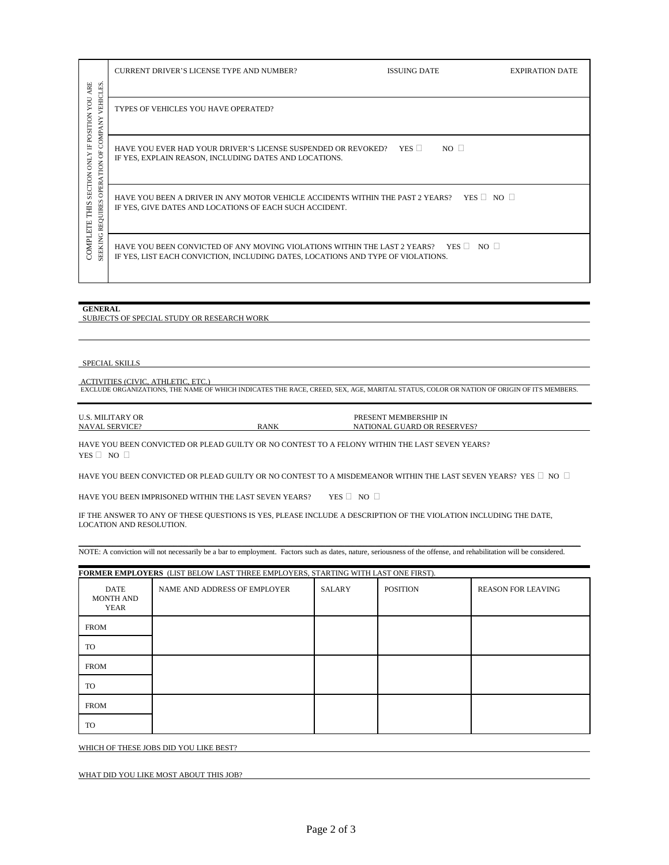| <b>ARE</b>                                                                                                         | <b>CURRENT DRIVER'S LICENSE TYPE AND NUMBER?</b>                                                                                                               | <b>ISSUING DATE</b>           | <b>EXPIRATION DATE</b> |
|--------------------------------------------------------------------------------------------------------------------|----------------------------------------------------------------------------------------------------------------------------------------------------------------|-------------------------------|------------------------|
| VEHICLES<br>VOU<br>POSITION<br>Ę                                                                                   | TYPES OF VEHICLES YOU HAVE OPERATED?                                                                                                                           |                               |                        |
| Ê,<br>Н<br>5<br><b>ONLY</b><br>$\overline{6}$<br><b>SECTION</b><br><b>OPER</b><br>S<br><b>THIS</b><br>UIRE<br>REQI | HAVE YOU EVER HAD YOUR DRIVER'S LICENSE SUSPENDED OR REVOKED?<br>IF YES, EXPLAIN REASON, INCLUDING DATES AND LOCATIONS.                                        | YES $\square$<br>$NO \square$ |                        |
|                                                                                                                    | HAVE YOU BEEN A DRIVER IN ANY MOTOR VEHICLE ACCIDENTS WITHIN THE PAST 2 YEARS? YES $\Box$ NO $\Box$<br>IF YES, GIVE DATES AND LOCATIONS OF EACH SUCH ACCIDENT. |                               |                        |
| COMPLETE<br>G<br><b>SEEKIN</b>                                                                                     | HAVE YOU BEEN CONVICTED OF ANY MOVING VIOLATIONS WITHIN THE LAST 2 YEARS?<br>IF YES, LIST EACH CONVICTION, INCLUDING DATES, LOCATIONS AND TYPE OF VIOLATIONS.  | $YES \Box NO \Box$            |                        |

## **GENERAL**

SUBJECTS OF SPECIAL STUDY OR RESEARCH WORK

SPECIAL SKILLS

ACTIVITIES (CIVIC, ATHLETIC, ETC.) EXCLUDE ORGANIZATIONS, THE NAME OF WHICH INDICATES THE RACE, CREED, SEX, AGE, MARITAL STATUS, COLOR OR NATION OF ORIGIN OF ITS MEMBERS.

| <b>U.S. MILITARY OR</b> |             | PRESENT MEMBERSHIP IN       |
|-------------------------|-------------|-----------------------------|
| <b>NAVAL SERVICE?</b>   | <b>RANK</b> | NATIONAL GUARD OR RESERVES? |

HAVE YOU BEEN CONVICTED OR PLEAD GUILTY OR NO CONTEST TO A FELONY WITHIN THE LAST SEVEN YEARS? YES  $\Box$  NO  $\Box$ 

HAVE YOU BEEN CONVICTED OR PLEAD GUILTY OR NO CONTEST TO A MISDEMEANOR WITHIN THE LAST SEVEN YEARS? YES  $\Box\,$  NO  $\,\Box$ 

HAVE YOU BEEN IMPRISONED WITHIN THE LAST SEVEN YEARS? YES  $\Box$  NO  $\Box$ 

IF THE ANSWER TO ANY OF THESE QUESTIONS IS YES, PLEASE INCLUDE A DESCRIPTION OF THE VIOLATION INCLUDING THE DATE, LOCATION AND RESOLUTION.

NOTE: A conviction will not necessarily be a bar to employment. Factors such as dates, nature, seriousness of the offense, and rehabilitation will be considered.

\_\_\_\_\_\_\_\_\_\_\_\_\_\_\_\_\_\_\_\_\_\_\_\_\_\_\_\_\_\_\_\_\_\_\_\_\_\_\_\_\_\_\_\_\_\_\_\_\_\_\_\_\_\_\_\_\_\_\_\_\_\_\_\_\_\_\_\_\_\_\_\_\_\_\_\_\_\_\_\_\_\_\_\_\_\_\_\_\_\_\_\_\_\_\_\_\_\_\_\_\_\_\_\_\_\_\_\_\_\_\_\_\_\_\_\_\_\_\_\_\_\_\_\_\_\_\_\_\_\_\_\_

| FORMER EMPLOYERS (LIST BELOW LAST THREE EMPLOYERS, STARTING WITH LAST ONE FIRST). |                              |        |                 |                           |  |
|-----------------------------------------------------------------------------------|------------------------------|--------|-----------------|---------------------------|--|
| DATE<br><b>MONTH AND</b><br>YEAR                                                  | NAME AND ADDRESS OF EMPLOYER | SALARY | <b>POSITION</b> | <b>REASON FOR LEAVING</b> |  |
| <b>FROM</b>                                                                       |                              |        |                 |                           |  |
| TO                                                                                |                              |        |                 |                           |  |
| <b>FROM</b>                                                                       |                              |        |                 |                           |  |
| TO                                                                                |                              |        |                 |                           |  |
| <b>FROM</b>                                                                       |                              |        |                 |                           |  |
| TO                                                                                |                              |        |                 |                           |  |

WHICH OF THESE JOBS DID YOU LIKE BEST?

| WHAT DID YOU LIKE MOST ABOUT THIS JOB? |  |  |  |
|----------------------------------------|--|--|--|
|                                        |  |  |  |